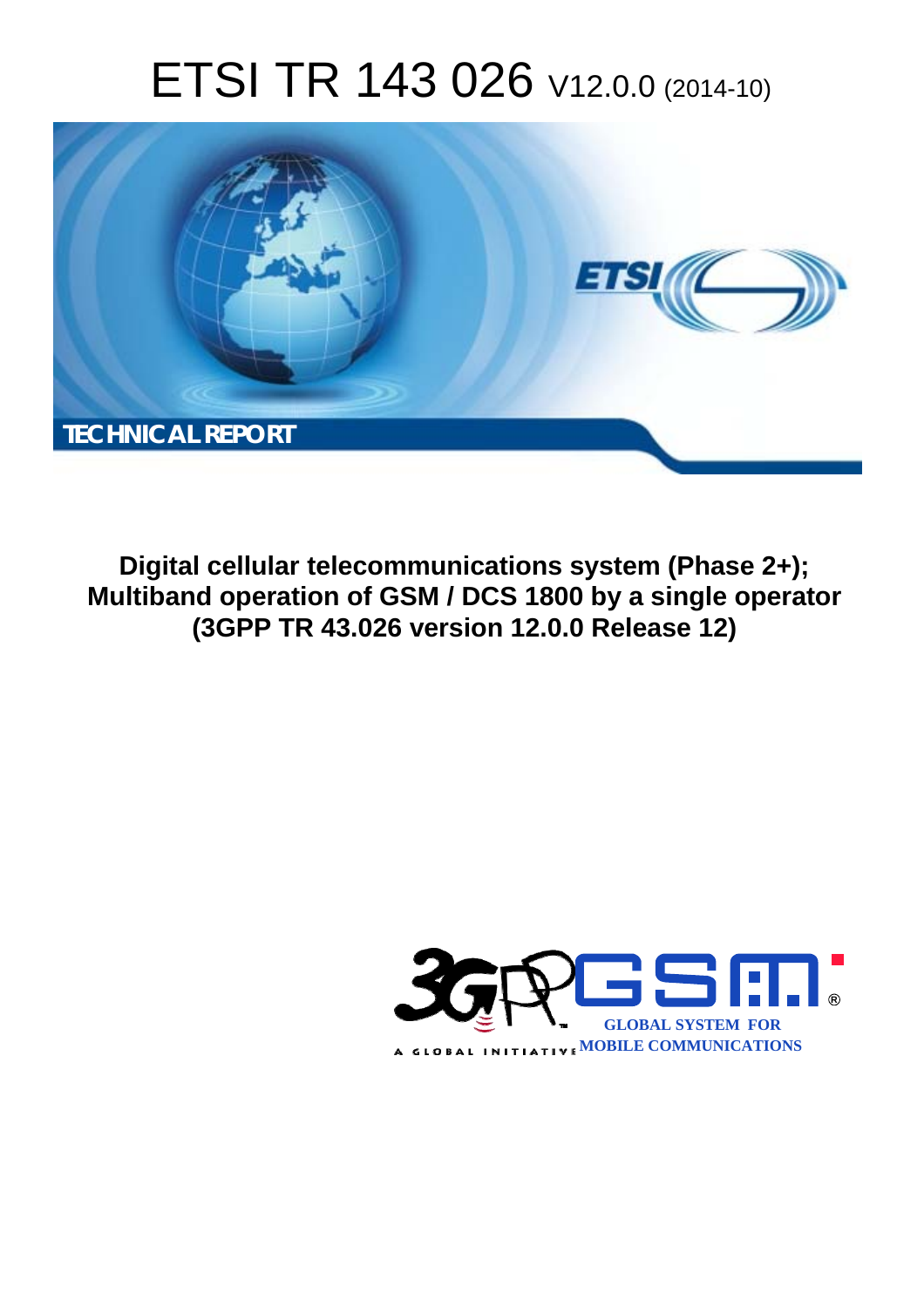# ETSI TR 143 026 V12.0.0 (2014-10)



**Digital cellular telecommunications system (Phase 2+); Multiband operation of GSM / DCS 1800 by a single operator (3GPP TR 43.026 version 12.0.0 Release 12)** 

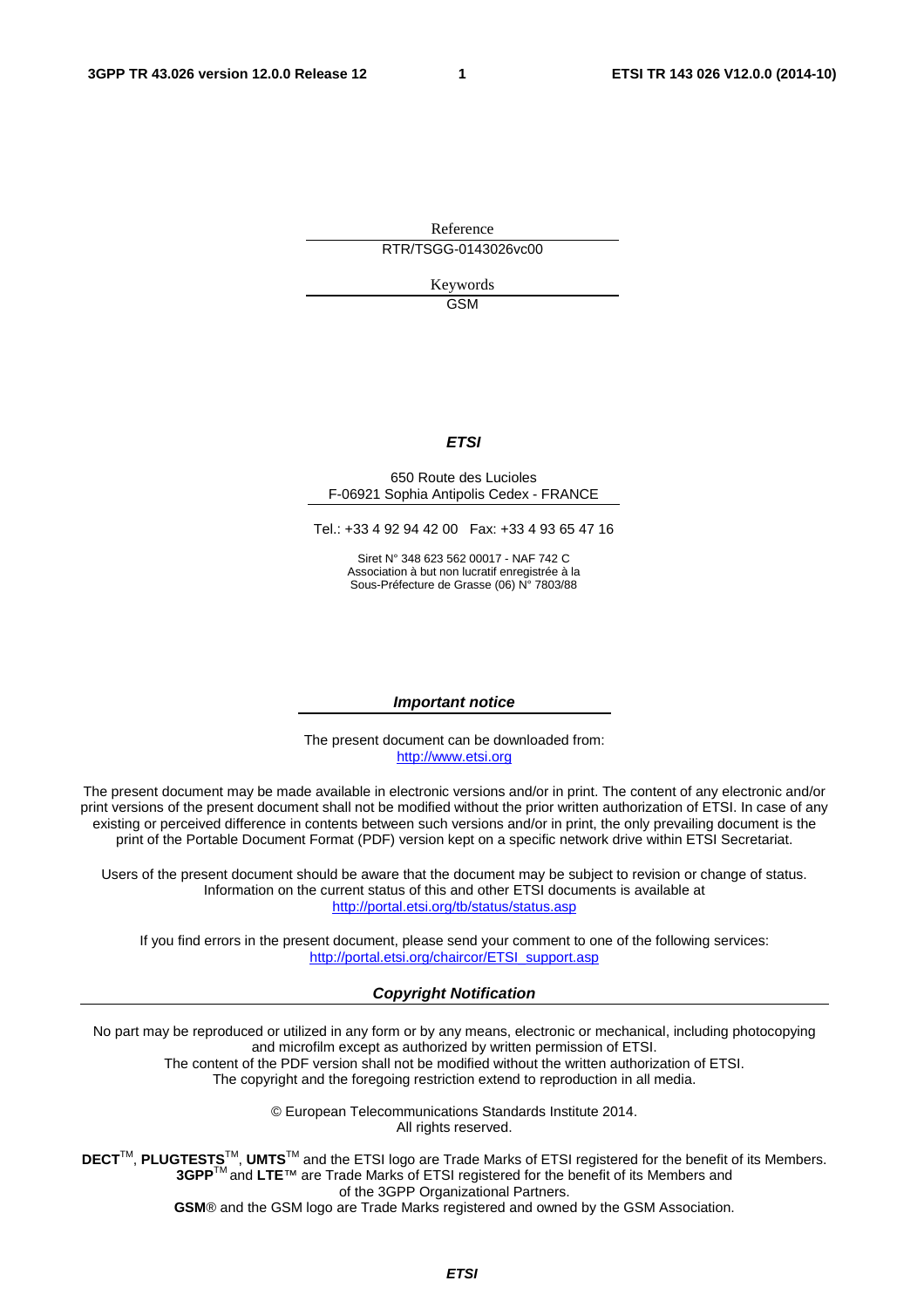Reference RTR/TSGG-0143026vc00

> Keywords **GSM**

#### *ETSI*

#### 650 Route des Lucioles F-06921 Sophia Antipolis Cedex - FRANCE

Tel.: +33 4 92 94 42 00 Fax: +33 4 93 65 47 16

Siret N° 348 623 562 00017 - NAF 742 C Association à but non lucratif enregistrée à la Sous-Préfecture de Grasse (06) N° 7803/88

#### *Important notice*

The present document can be downloaded from: [http://www.etsi.org](http://www.etsi.org/)

The present document may be made available in electronic versions and/or in print. The content of any electronic and/or print versions of the present document shall not be modified without the prior written authorization of ETSI. In case of any existing or perceived difference in contents between such versions and/or in print, the only prevailing document is the print of the Portable Document Format (PDF) version kept on a specific network drive within ETSI Secretariat.

Users of the present document should be aware that the document may be subject to revision or change of status. Information on the current status of this and other ETSI documents is available at <http://portal.etsi.org/tb/status/status.asp>

If you find errors in the present document, please send your comment to one of the following services: [http://portal.etsi.org/chaircor/ETSI\\_support.asp](http://portal.etsi.org/chaircor/ETSI_support.asp)

#### *Copyright Notification*

No part may be reproduced or utilized in any form or by any means, electronic or mechanical, including photocopying and microfilm except as authorized by written permission of ETSI.

The content of the PDF version shall not be modified without the written authorization of ETSI. The copyright and the foregoing restriction extend to reproduction in all media.

> © European Telecommunications Standards Institute 2014. All rights reserved.

**DECT**TM, **PLUGTESTS**TM, **UMTS**TM and the ETSI logo are Trade Marks of ETSI registered for the benefit of its Members. **3GPP**TM and **LTE**™ are Trade Marks of ETSI registered for the benefit of its Members and of the 3GPP Organizational Partners.

**GSM**® and the GSM logo are Trade Marks registered and owned by the GSM Association.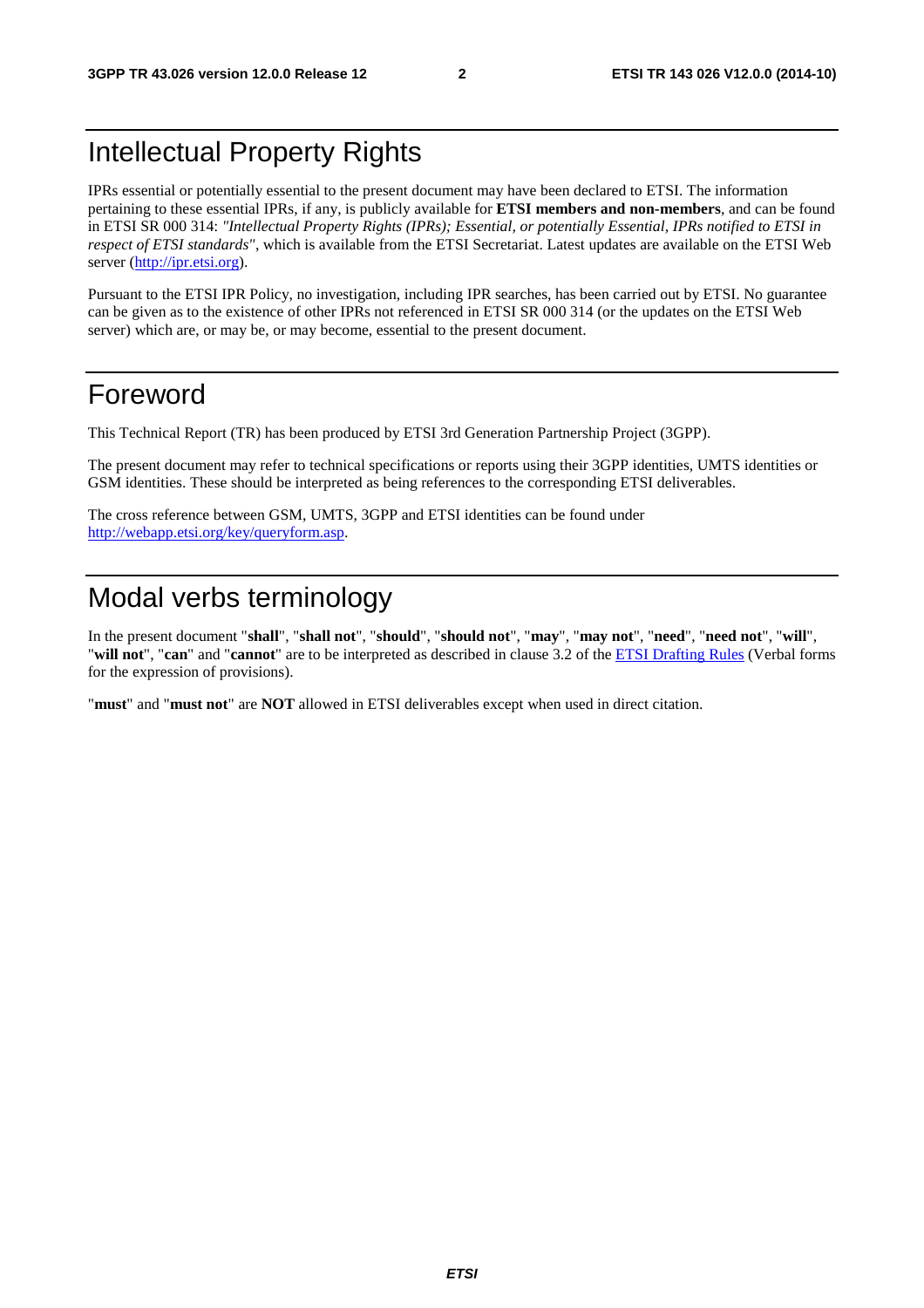# Intellectual Property Rights

IPRs essential or potentially essential to the present document may have been declared to ETSI. The information pertaining to these essential IPRs, if any, is publicly available for **ETSI members and non-members**, and can be found in ETSI SR 000 314: *"Intellectual Property Rights (IPRs); Essential, or potentially Essential, IPRs notified to ETSI in respect of ETSI standards"*, which is available from the ETSI Secretariat. Latest updates are available on the ETSI Web server [\(http://ipr.etsi.org](http://webapp.etsi.org/IPR/home.asp)).

Pursuant to the ETSI IPR Policy, no investigation, including IPR searches, has been carried out by ETSI. No guarantee can be given as to the existence of other IPRs not referenced in ETSI SR 000 314 (or the updates on the ETSI Web server) which are, or may be, or may become, essential to the present document.

# Foreword

This Technical Report (TR) has been produced by ETSI 3rd Generation Partnership Project (3GPP).

The present document may refer to technical specifications or reports using their 3GPP identities, UMTS identities or GSM identities. These should be interpreted as being references to the corresponding ETSI deliverables.

The cross reference between GSM, UMTS, 3GPP and ETSI identities can be found under [http://webapp.etsi.org/key/queryform.asp.](http://webapp.etsi.org/key/queryform.asp)

# Modal verbs terminology

In the present document "**shall**", "**shall not**", "**should**", "**should not**", "**may**", "**may not**", "**need**", "**need not**", "**will**", "**will not**", "**can**" and "**cannot**" are to be interpreted as described in clause 3.2 of the [ETSI Drafting Rules](http://portal.etsi.org/Help/editHelp!/Howtostart/ETSIDraftingRules.aspx) (Verbal forms for the expression of provisions).

"**must**" and "**must not**" are **NOT** allowed in ETSI deliverables except when used in direct citation.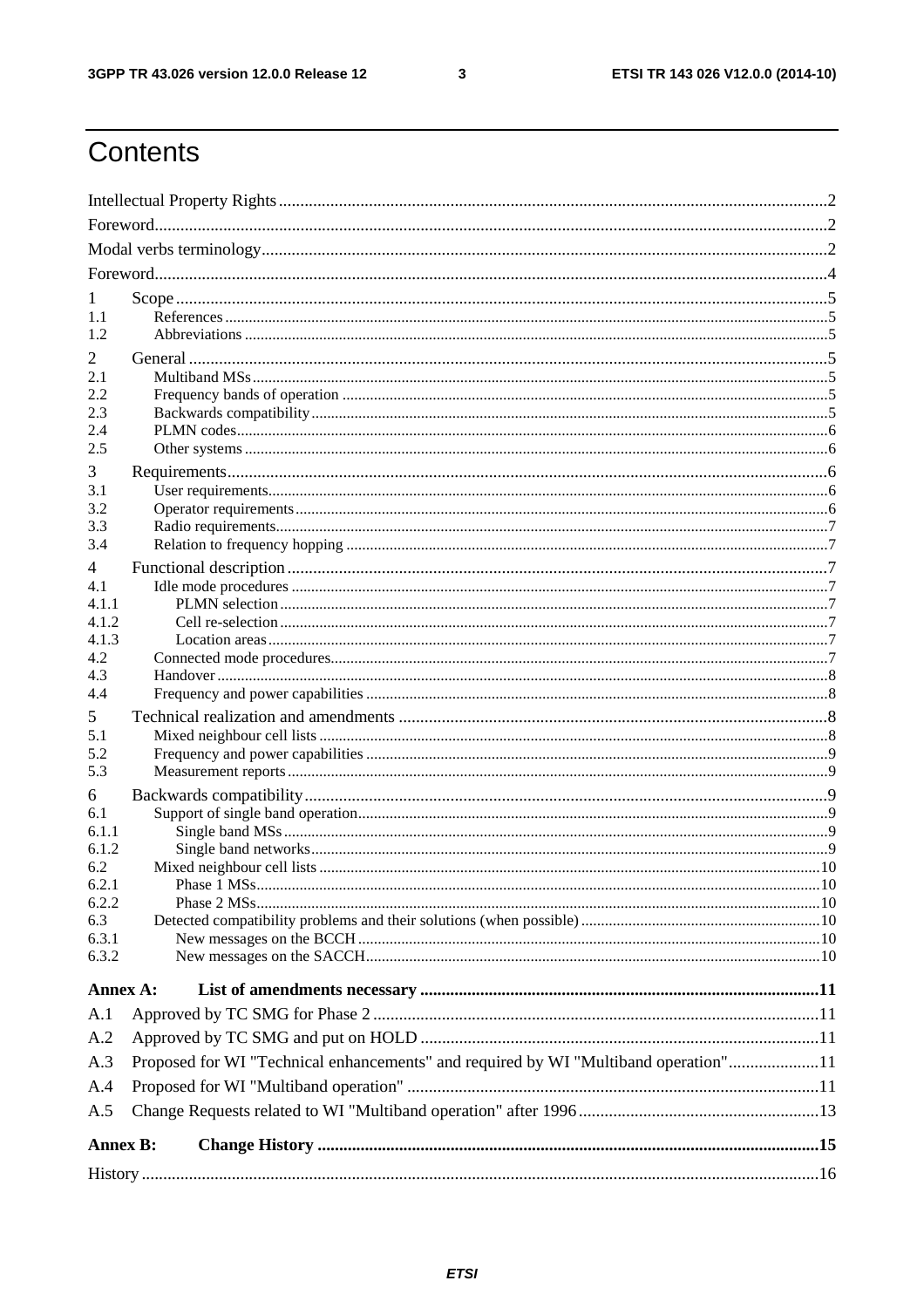$\mathbf{3}$ 

# Contents

| 1               |                                                                                     |  |  |  |  |  |
|-----------------|-------------------------------------------------------------------------------------|--|--|--|--|--|
| 1.1             |                                                                                     |  |  |  |  |  |
| 1.2             |                                                                                     |  |  |  |  |  |
| 2               |                                                                                     |  |  |  |  |  |
| 2.1             |                                                                                     |  |  |  |  |  |
| 2.2             |                                                                                     |  |  |  |  |  |
| 2.3<br>2.4      |                                                                                     |  |  |  |  |  |
| 2.5             |                                                                                     |  |  |  |  |  |
| 3               |                                                                                     |  |  |  |  |  |
| 3.1             |                                                                                     |  |  |  |  |  |
| 3.2             |                                                                                     |  |  |  |  |  |
| 3.3             |                                                                                     |  |  |  |  |  |
| 3.4             |                                                                                     |  |  |  |  |  |
| 4               |                                                                                     |  |  |  |  |  |
| 4.1<br>4.1.1    |                                                                                     |  |  |  |  |  |
| 4.1.2           |                                                                                     |  |  |  |  |  |
| 4.1.3           |                                                                                     |  |  |  |  |  |
| 4.2             |                                                                                     |  |  |  |  |  |
| 4.3             |                                                                                     |  |  |  |  |  |
| 4.4             |                                                                                     |  |  |  |  |  |
| 5               |                                                                                     |  |  |  |  |  |
| 5.1<br>5.2      |                                                                                     |  |  |  |  |  |
| 5.3             |                                                                                     |  |  |  |  |  |
| 6               |                                                                                     |  |  |  |  |  |
| 6.1             |                                                                                     |  |  |  |  |  |
| 6.1.1           |                                                                                     |  |  |  |  |  |
| 6.1.2           |                                                                                     |  |  |  |  |  |
| 6.2<br>6.2.1    |                                                                                     |  |  |  |  |  |
| 6.2.2           |                                                                                     |  |  |  |  |  |
| 6.3             |                                                                                     |  |  |  |  |  |
| 6.3.1           |                                                                                     |  |  |  |  |  |
| 6.3.2           |                                                                                     |  |  |  |  |  |
| Annex A:        |                                                                                     |  |  |  |  |  |
| A.1             |                                                                                     |  |  |  |  |  |
| A.2             |                                                                                     |  |  |  |  |  |
| A.3             | Proposed for WI "Technical enhancements" and required by WI "Multiband operation"11 |  |  |  |  |  |
| A.4             |                                                                                     |  |  |  |  |  |
| A.5             |                                                                                     |  |  |  |  |  |
|                 |                                                                                     |  |  |  |  |  |
| <b>Annex B:</b> |                                                                                     |  |  |  |  |  |
|                 |                                                                                     |  |  |  |  |  |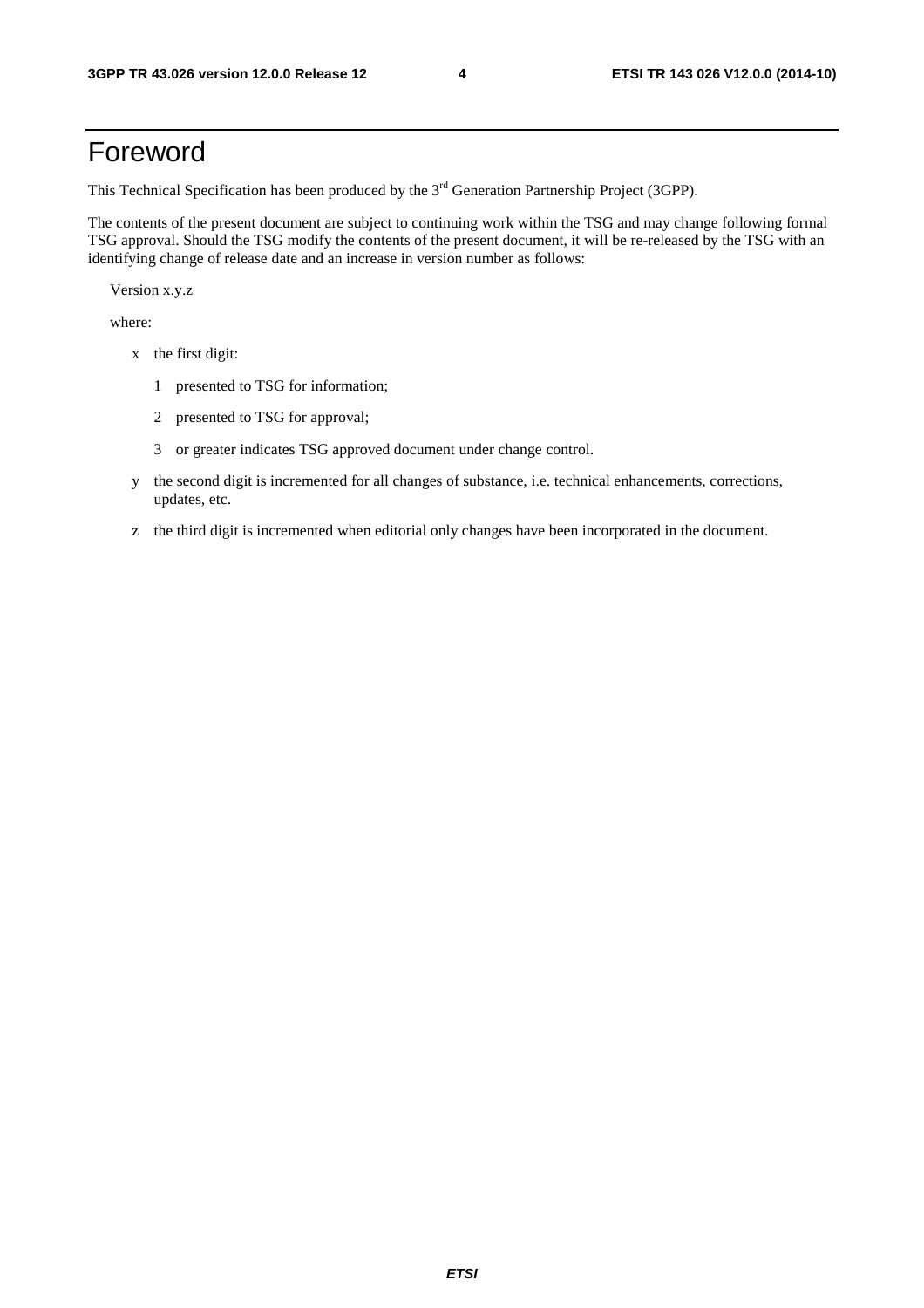# Foreword

This Technical Specification has been produced by the 3<sup>rd</sup> Generation Partnership Project (3GPP).

The contents of the present document are subject to continuing work within the TSG and may change following formal TSG approval. Should the TSG modify the contents of the present document, it will be re-released by the TSG with an identifying change of release date and an increase in version number as follows:

Version x.y.z

where:

- x the first digit:
	- 1 presented to TSG for information;
	- 2 presented to TSG for approval;
	- 3 or greater indicates TSG approved document under change control.
- y the second digit is incremented for all changes of substance, i.e. technical enhancements, corrections, updates, etc.
- z the third digit is incremented when editorial only changes have been incorporated in the document.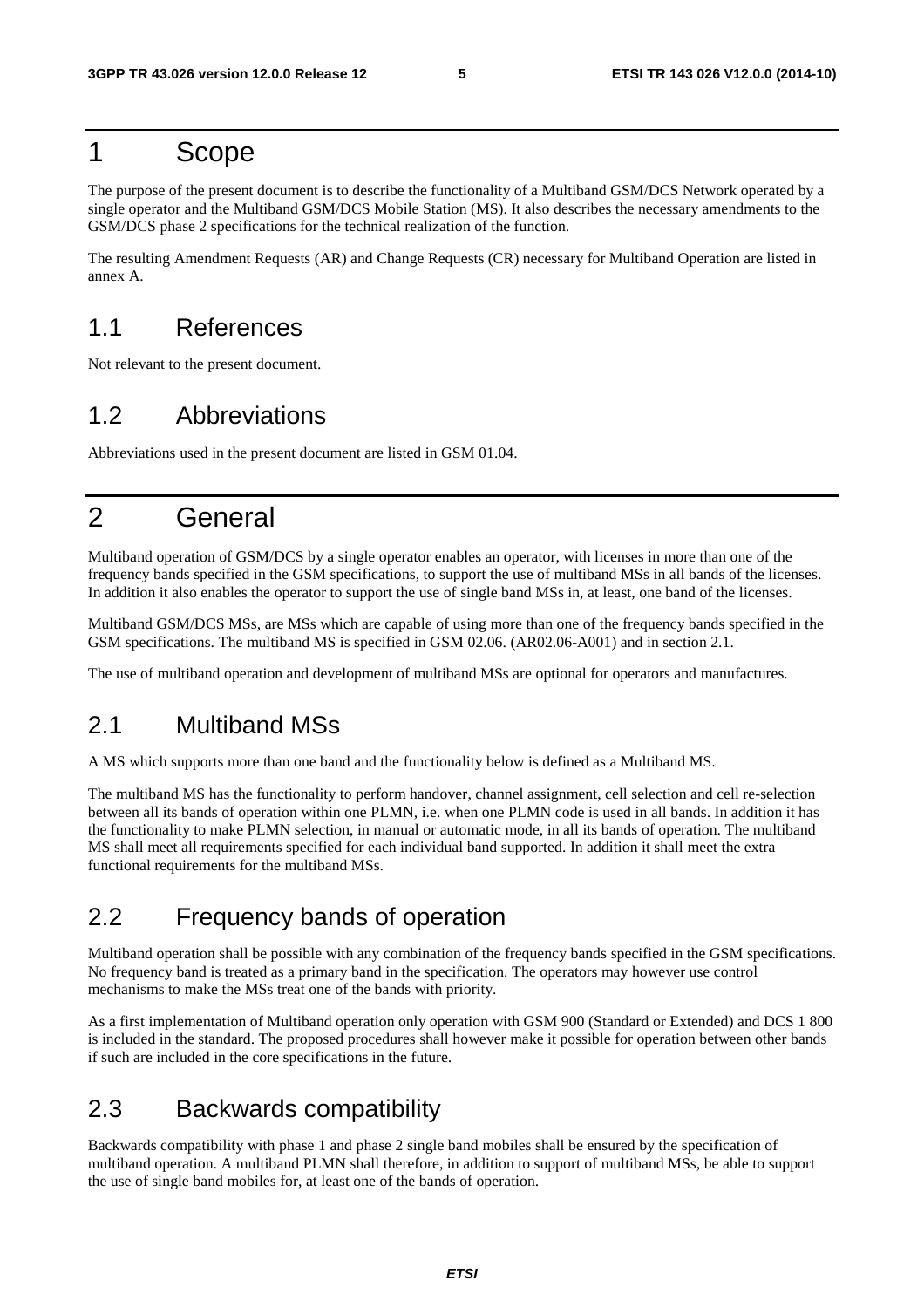# 1 Scope

The purpose of the present document is to describe the functionality of a Multiband GSM/DCS Network operated by a single operator and the Multiband GSM/DCS Mobile Station (MS). It also describes the necessary amendments to the GSM/DCS phase 2 specifications for the technical realization of the function.

The resulting Amendment Requests (AR) and Change Requests (CR) necessary for Multiband Operation are listed in annex A.

# 1.1 References

Not relevant to the present document.

# 1.2 Abbreviations

Abbreviations used in the present document are listed in GSM 01.04.

# 2 General

Multiband operation of GSM/DCS by a single operator enables an operator, with licenses in more than one of the frequency bands specified in the GSM specifications, to support the use of multiband MSs in all bands of the licenses. In addition it also enables the operator to support the use of single band MSs in, at least, one band of the licenses.

Multiband GSM/DCS MSs, are MSs which are capable of using more than one of the frequency bands specified in the GSM specifications. The multiband MS is specified in GSM 02.06. (AR02.06-A001) and in section 2.1.

The use of multiband operation and development of multiband MSs are optional for operators and manufactures.

### 2.1 Multiband MSs

A MS which supports more than one band and the functionality below is defined as a Multiband MS.

The multiband MS has the functionality to perform handover, channel assignment, cell selection and cell re-selection between all its bands of operation within one PLMN, i.e. when one PLMN code is used in all bands. In addition it has the functionality to make PLMN selection, in manual or automatic mode, in all its bands of operation. The multiband MS shall meet all requirements specified for each individual band supported. In addition it shall meet the extra functional requirements for the multiband MSs.

# 2.2 Frequency bands of operation

Multiband operation shall be possible with any combination of the frequency bands specified in the GSM specifications. No frequency band is treated as a primary band in the specification. The operators may however use control mechanisms to make the MSs treat one of the bands with priority.

As a first implementation of Multiband operation only operation with GSM 900 (Standard or Extended) and DCS 1 800 is included in the standard. The proposed procedures shall however make it possible for operation between other bands if such are included in the core specifications in the future.

# 2.3 Backwards compatibility

Backwards compatibility with phase 1 and phase 2 single band mobiles shall be ensured by the specification of multiband operation. A multiband PLMN shall therefore, in addition to support of multiband MSs, be able to support the use of single band mobiles for, at least one of the bands of operation.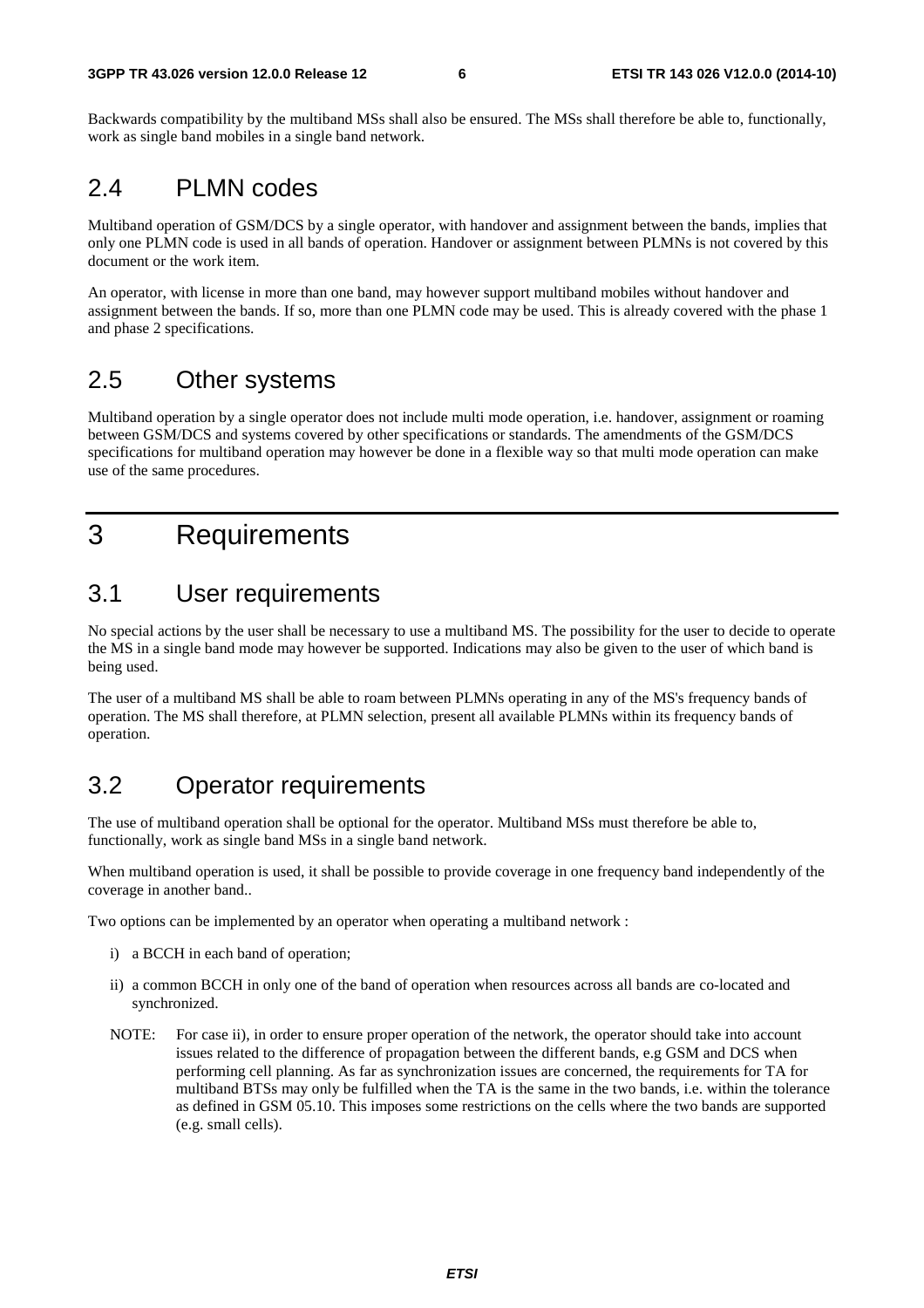Backwards compatibility by the multiband MSs shall also be ensured. The MSs shall therefore be able to, functionally, work as single band mobiles in a single band network.

### 2.4 PLMN codes

Multiband operation of GSM/DCS by a single operator, with handover and assignment between the bands, implies that only one PLMN code is used in all bands of operation. Handover or assignment between PLMNs is not covered by this document or the work item.

An operator, with license in more than one band, may however support multiband mobiles without handover and assignment between the bands. If so, more than one PLMN code may be used. This is already covered with the phase 1 and phase 2 specifications.

# 2.5 Other systems

Multiband operation by a single operator does not include multi mode operation, i.e. handover, assignment or roaming between GSM/DCS and systems covered by other specifications or standards. The amendments of the GSM/DCS specifications for multiband operation may however be done in a flexible way so that multi mode operation can make use of the same procedures.

# 3 Requirements

### 3.1 User requirements

No special actions by the user shall be necessary to use a multiband MS. The possibility for the user to decide to operate the MS in a single band mode may however be supported. Indications may also be given to the user of which band is being used.

The user of a multiband MS shall be able to roam between PLMNs operating in any of the MS's frequency bands of operation. The MS shall therefore, at PLMN selection, present all available PLMNs within its frequency bands of operation.

# 3.2 Operator requirements

The use of multiband operation shall be optional for the operator. Multiband MSs must therefore be able to, functionally, work as single band MSs in a single band network.

When multiband operation is used, it shall be possible to provide coverage in one frequency band independently of the coverage in another band..

Two options can be implemented by an operator when operating a multiband network :

- i) a BCCH in each band of operation;
- ii) a common BCCH in only one of the band of operation when resources across all bands are co-located and synchronized.
- NOTE: For case ii), in order to ensure proper operation of the network, the operator should take into account issues related to the difference of propagation between the different bands, e.g GSM and DCS when performing cell planning. As far as synchronization issues are concerned, the requirements for TA for multiband BTSs may only be fulfilled when the TA is the same in the two bands, i.e. within the tolerance as defined in GSM 05.10. This imposes some restrictions on the cells where the two bands are supported (e.g. small cells).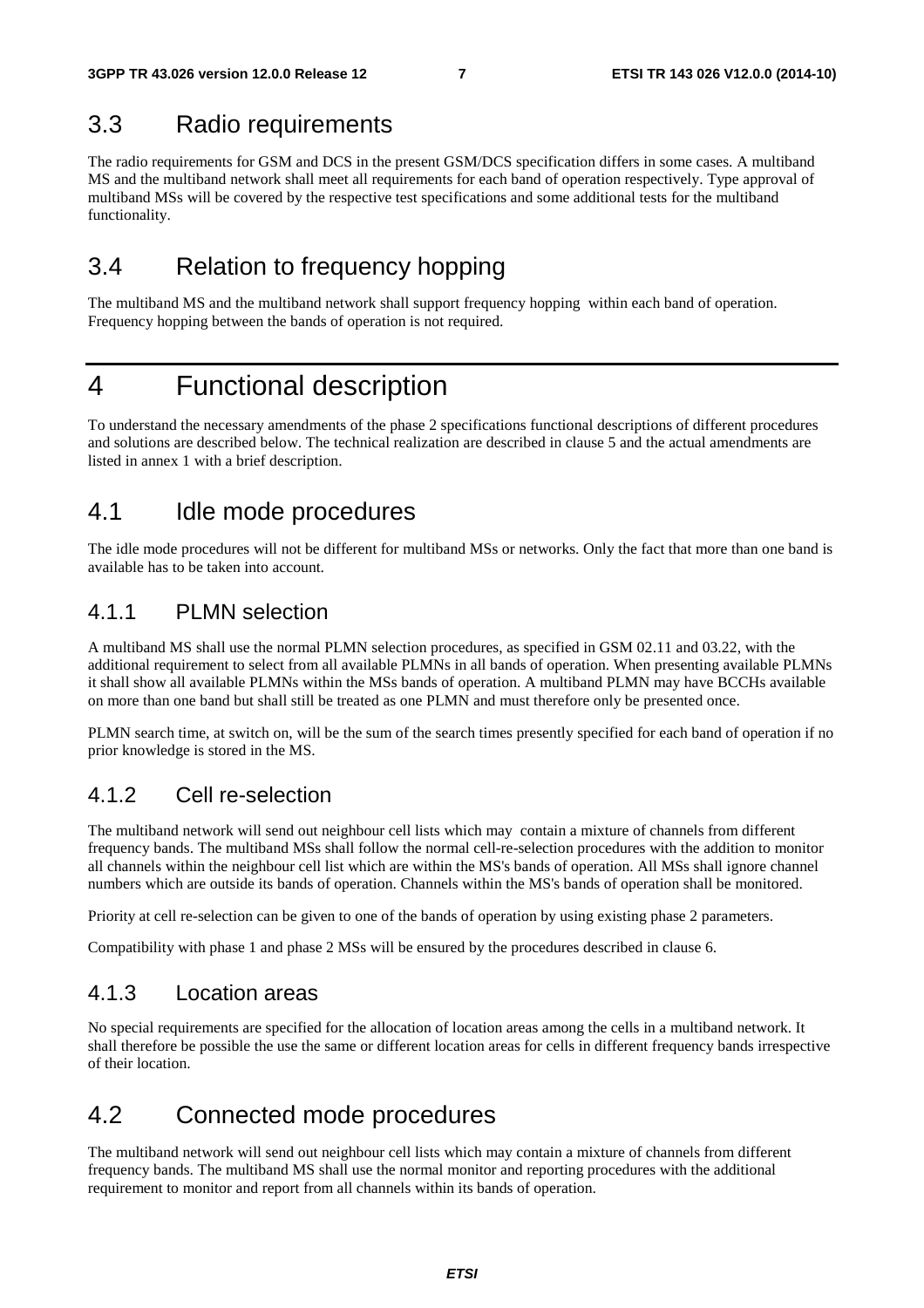### 3.3 Radio requirements

The radio requirements for GSM and DCS in the present GSM/DCS specification differs in some cases. A multiband MS and the multiband network shall meet all requirements for each band of operation respectively. Type approval of multiband MSs will be covered by the respective test specifications and some additional tests for the multiband functionality.

# 3.4 Relation to frequency hopping

The multiband MS and the multiband network shall support frequency hopping within each band of operation. Frequency hopping between the bands of operation is not required.

# 4 Functional description

To understand the necessary amendments of the phase 2 specifications functional descriptions of different procedures and solutions are described below. The technical realization are described in clause 5 and the actual amendments are listed in annex 1 with a brief description.

### 4.1 Idle mode procedures

The idle mode procedures will not be different for multiband MSs or networks. Only the fact that more than one band is available has to be taken into account.

### 4.1.1 PLMN selection

A multiband MS shall use the normal PLMN selection procedures, as specified in GSM 02.11 and 03.22, with the additional requirement to select from all available PLMNs in all bands of operation. When presenting available PLMNs it shall show all available PLMNs within the MSs bands of operation. A multiband PLMN may have BCCHs available on more than one band but shall still be treated as one PLMN and must therefore only be presented once.

PLMN search time, at switch on, will be the sum of the search times presently specified for each band of operation if no prior knowledge is stored in the MS.

### 4.1.2 Cell re-selection

The multiband network will send out neighbour cell lists which may contain a mixture of channels from different frequency bands. The multiband MSs shall follow the normal cell-re-selection procedures with the addition to monitor all channels within the neighbour cell list which are within the MS's bands of operation. All MSs shall ignore channel numbers which are outside its bands of operation. Channels within the MS's bands of operation shall be monitored.

Priority at cell re-selection can be given to one of the bands of operation by using existing phase 2 parameters.

Compatibility with phase 1 and phase 2 MSs will be ensured by the procedures described in clause 6.

### 4.1.3 Location areas

No special requirements are specified for the allocation of location areas among the cells in a multiband network. It shall therefore be possible the use the same or different location areas for cells in different frequency bands irrespective of their location.

# 4.2 Connected mode procedures

The multiband network will send out neighbour cell lists which may contain a mixture of channels from different frequency bands. The multiband MS shall use the normal monitor and reporting procedures with the additional requirement to monitor and report from all channels within its bands of operation.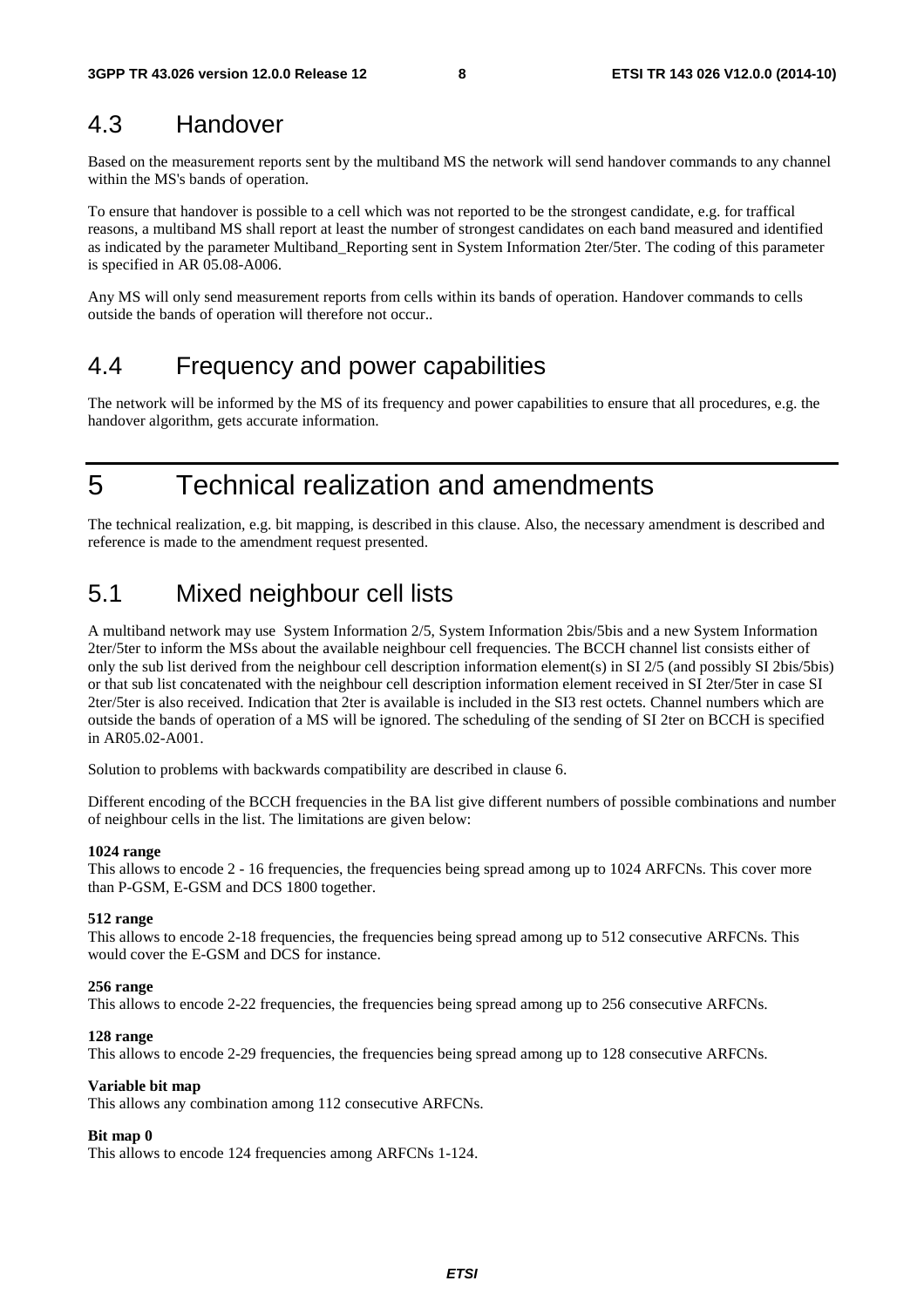### 4.3 Handover

Based on the measurement reports sent by the multiband MS the network will send handover commands to any channel within the MS's bands of operation.

To ensure that handover is possible to a cell which was not reported to be the strongest candidate, e.g. for traffical reasons, a multiband MS shall report at least the number of strongest candidates on each band measured and identified as indicated by the parameter Multiband\_Reporting sent in System Information 2ter/5ter. The coding of this parameter is specified in AR 05.08-A006.

Any MS will only send measurement reports from cells within its bands of operation. Handover commands to cells outside the bands of operation will therefore not occur..

### 4.4 Frequency and power capabilities

The network will be informed by the MS of its frequency and power capabilities to ensure that all procedures, e.g. the handover algorithm, gets accurate information.

5 Technical realization and amendments

The technical realization, e.g. bit mapping, is described in this clause. Also, the necessary amendment is described and reference is made to the amendment request presented.

# 5.1 Mixed neighbour cell lists

A multiband network may use System Information 2/5, System Information 2bis/5bis and a new System Information 2ter/5ter to inform the MSs about the available neighbour cell frequencies. The BCCH channel list consists either of only the sub list derived from the neighbour cell description information element(s) in SI 2/5 (and possibly SI 2bis/5bis) or that sub list concatenated with the neighbour cell description information element received in SI 2ter/5ter in case SI 2ter/5ter is also received. Indication that 2ter is available is included in the SI3 rest octets. Channel numbers which are outside the bands of operation of a MS will be ignored. The scheduling of the sending of SI 2ter on BCCH is specified in AR05.02-A001.

Solution to problems with backwards compatibility are described in clause 6.

Different encoding of the BCCH frequencies in the BA list give different numbers of possible combinations and number of neighbour cells in the list. The limitations are given below:

#### **1024 range**

This allows to encode 2 - 16 frequencies, the frequencies being spread among up to 1024 ARFCNs. This cover more than P-GSM, E-GSM and DCS 1800 together.

#### **512 range**

This allows to encode 2-18 frequencies, the frequencies being spread among up to 512 consecutive ARFCNs. This would cover the E-GSM and DCS for instance.

#### **256 range**

This allows to encode 2-22 frequencies, the frequencies being spread among up to 256 consecutive ARFCNs.

#### **128 range**

This allows to encode 2-29 frequencies, the frequencies being spread among up to 128 consecutive ARFCNs.

#### **Variable bit map**

This allows any combination among 112 consecutive ARFCNs.

#### **Bit map 0**

This allows to encode 124 frequencies among ARFCNs 1-124.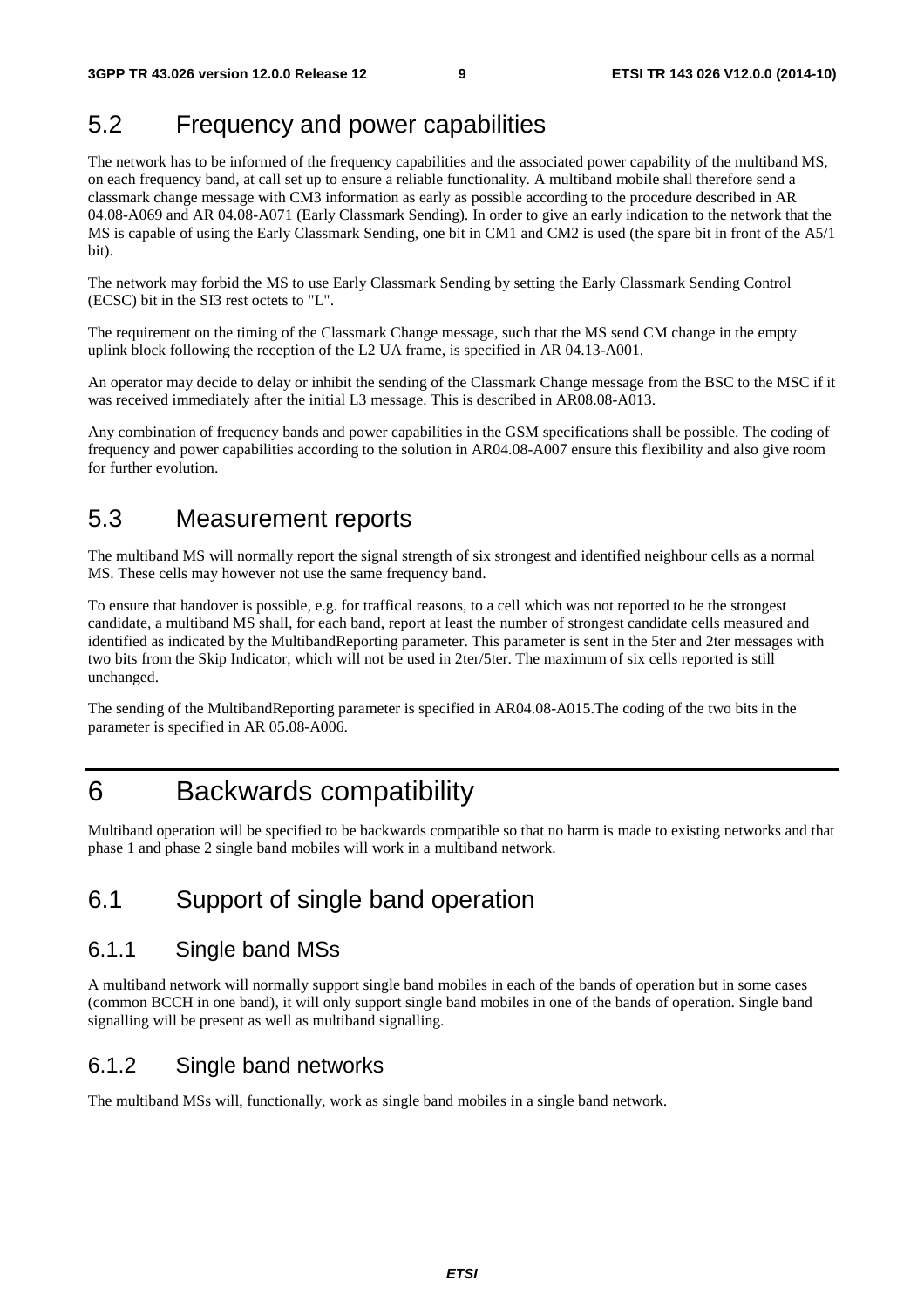# 5.2 Frequency and power capabilities

The network has to be informed of the frequency capabilities and the associated power capability of the multiband MS, on each frequency band, at call set up to ensure a reliable functionality. A multiband mobile shall therefore send a classmark change message with CM3 information as early as possible according to the procedure described in AR 04.08-A069 and AR 04.08-A071 (Early Classmark Sending)*.* In order to give an early indication to the network that the MS is capable of using the Early Classmark Sending, one bit in CM1 and CM2 is used (the spare bit in front of the A5/1 bit).

The network may forbid the MS to use Early Classmark Sending by setting the Early Classmark Sending Control (ECSC) bit in the SI3 rest octets to "L".

The requirement on the timing of the Classmark Change message, such that the MS send CM change in the empty uplink block following the reception of the L2 UA frame, is specified in AR 04.13-A001.

An operator may decide to delay or inhibit the sending of the Classmark Change message from the BSC to the MSC if it was received immediately after the initial L3 message. This is described in AR08.08-A013.

Any combination of frequency bands and power capabilities in the GSM specifications shall be possible. The coding of frequency and power capabilities according to the solution in AR04.08-A007 ensure this flexibility and also give room for further evolution.

# 5.3 Measurement reports

The multiband MS will normally report the signal strength of six strongest and identified neighbour cells as a normal MS. These cells may however not use the same frequency band.

To ensure that handover is possible, e.g. for traffical reasons, to a cell which was not reported to be the strongest candidate, a multiband MS shall, for each band, report at least the number of strongest candidate cells measured and identified as indicated by the MultibandReporting parameter. This parameter is sent in the 5ter and 2ter messages with two bits from the Skip Indicator, which will not be used in 2ter/5ter. The maximum of six cells reported is still unchanged.

The sending of the MultibandReporting parameter is specified in AR04.08-A015.The coding of the two bits in the parameter is specified in AR 05.08-A006.

# 6 Backwards compatibility

Multiband operation will be specified to be backwards compatible so that no harm is made to existing networks and that phase 1 and phase 2 single band mobiles will work in a multiband network.

# 6.1 Support of single band operation

### 6.1.1 Single band MSs

A multiband network will normally support single band mobiles in each of the bands of operation but in some cases (common BCCH in one band), it will only support single band mobiles in one of the bands of operation. Single band signalling will be present as well as multiband signalling.

### 6.1.2 Single band networks

The multiband MSs will, functionally, work as single band mobiles in a single band network.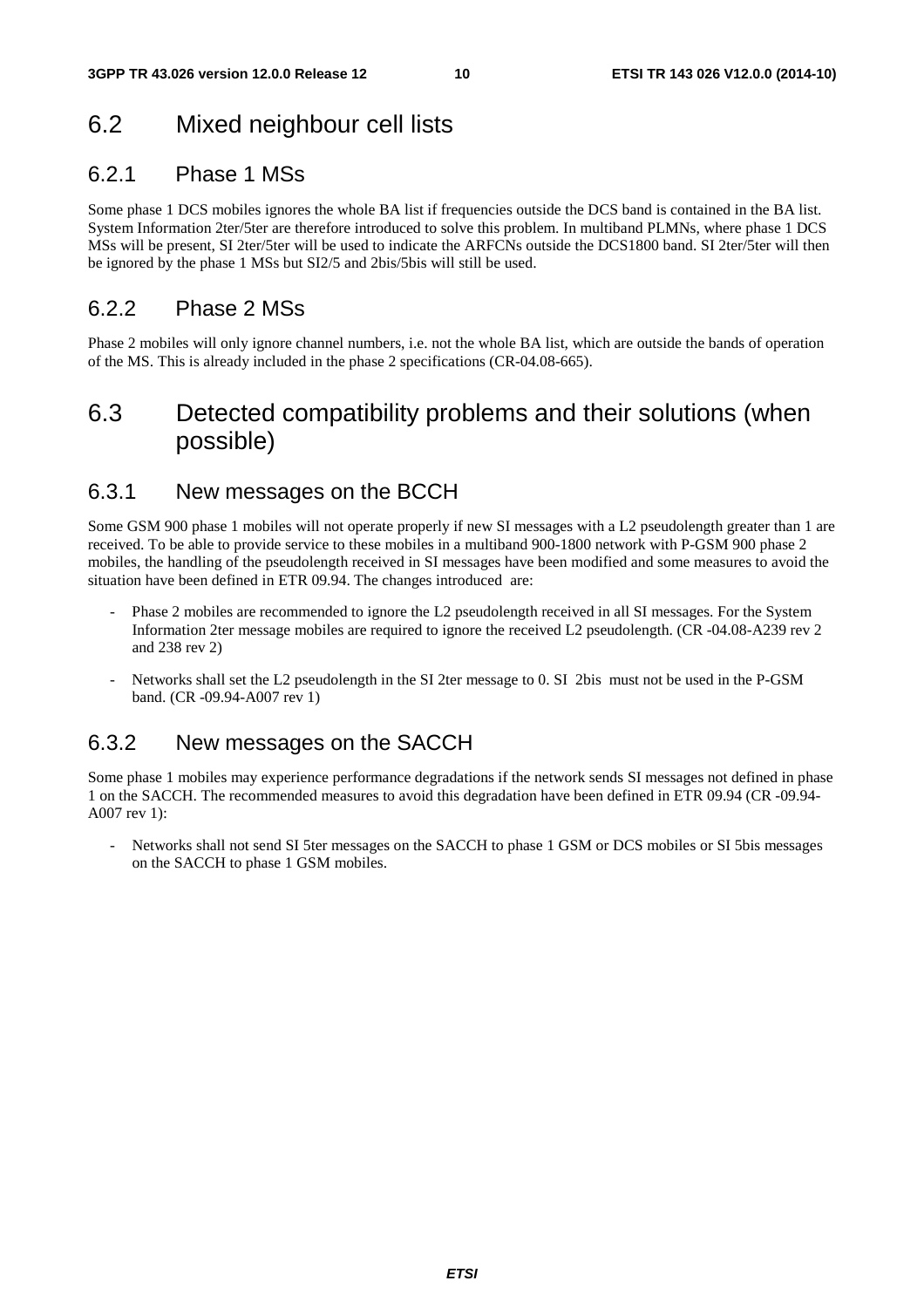# 6.2 Mixed neighbour cell lists

### 6.2.1 Phase 1 MSs

Some phase 1 DCS mobiles ignores the whole BA list if frequencies outside the DCS band is contained in the BA list. System Information 2ter/5ter are therefore introduced to solve this problem. In multiband PLMNs, where phase 1 DCS MSs will be present, SI 2ter/5ter will be used to indicate the ARFCNs outside the DCS1800 band. SI 2ter/5ter will then be ignored by the phase 1 MSs but SI2/5 and 2bis/5bis will still be used.

### 6.2.2 Phase 2 MSs

Phase 2 mobiles will only ignore channel numbers, i.e. not the whole BA list, which are outside the bands of operation of the MS. This is already included in the phase 2 specifications (CR-04.08-665).

# 6.3 Detected compatibility problems and their solutions (when possible)

### 6.3.1 New messages on the BCCH

Some GSM 900 phase 1 mobiles will not operate properly if new SI messages with a L2 pseudolength greater than 1 are received. To be able to provide service to these mobiles in a multiband 900-1800 network with P-GSM 900 phase 2 mobiles, the handling of the pseudolength received in SI messages have been modified and some measures to avoid the situation have been defined in ETR 09.94. The changes introduced are:

- Phase 2 mobiles are recommended to ignore the L2 pseudolength received in all SI messages. For the System Information 2ter message mobiles are required to ignore the received L2 pseudolength. (CR -04.08-A239 rev 2 and 238 rev 2)
- Networks shall set the L2 pseudolength in the SI 2ter message to 0. SI 2bis must not be used in the P-GSM band. (CR -09.94-A007 rev 1)

### 6.3.2 New messages on the SACCH

Some phase 1 mobiles may experience performance degradations if the network sends SI messages not defined in phase 1 on the SACCH. The recommended measures to avoid this degradation have been defined in ETR 09.94 (CR -09.94- A007 rev 1):

- Networks shall not send SI 5ter messages on the SACCH to phase 1 GSM or DCS mobiles or SI 5bis messages on the SACCH to phase 1 GSM mobiles.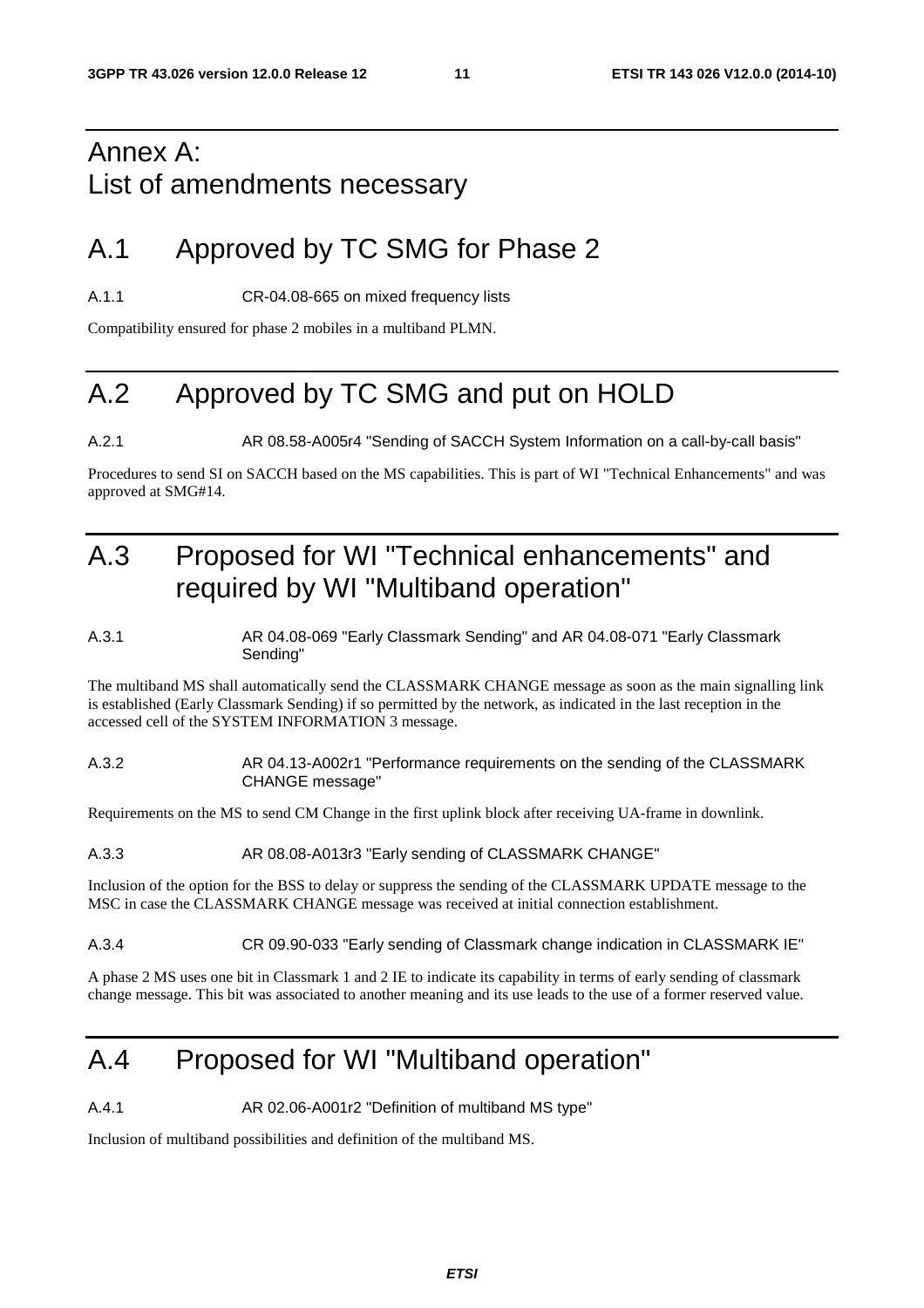# Annex A: List of amendments necessary

# A.1 Approved by TC SMG for Phase 2

A.1.1 CR-04.08-665 on mixed frequency lists

Compatibility ensured for phase 2 mobiles in a multiband PLMN.

# A.2 Approved by TC SMG and put on HOLD

A.2.1 AR 08.58-A005r4 "Sending of SACCH System Information on a call-by-call basis"

Procedures to send SI on SACCH based on the MS capabilities. This is part of WI "Technical Enhancements" and was approved at SMG#14.

# A.3 Proposed for WI "Technical enhancements" and required by WI "Multiband operation"

#### A.3.1 AR 04.08-069 "Early Classmark Sending" and AR 04.08-071 "Early Classmark Sending"

The multiband MS shall automatically send the CLASSMARK CHANGE message as soon as the main signalling link is established (Early Classmark Sending) if so permitted by the network, as indicated in the last reception in the accessed cell of the SYSTEM INFORMATION 3 message.

#### A.3.2 AR 04.13-A002r1 "Performance requirements on the sending of the CLASSMARK CHANGE message"

Requirements on the MS to send CM Change in the first uplink block after receiving UA-frame in downlink.

#### A.3.3 AR 08.08-A013r3 "Early sending of CLASSMARK CHANGE"

Inclusion of the option for the BSS to delay or suppress the sending of the CLASSMARK UPDATE message to the MSC in case the CLASSMARK CHANGE message was received at initial connection establishment.

#### A.3.4 CR 09.90-033 "Early sending of Classmark change indication in CLASSMARK IE"

A phase 2 MS uses one bit in Classmark 1 and 2 IE to indicate its capability in terms of early sending of classmark change message. This bit was associated to another meaning and its use leads to the use of a former reserved value.

# A.4 Proposed for WI "Multiband operation"

A.4.1 AR 02.06-A001r2 "Definition of multiband MS type"

Inclusion of multiband possibilities and definition of the multiband MS.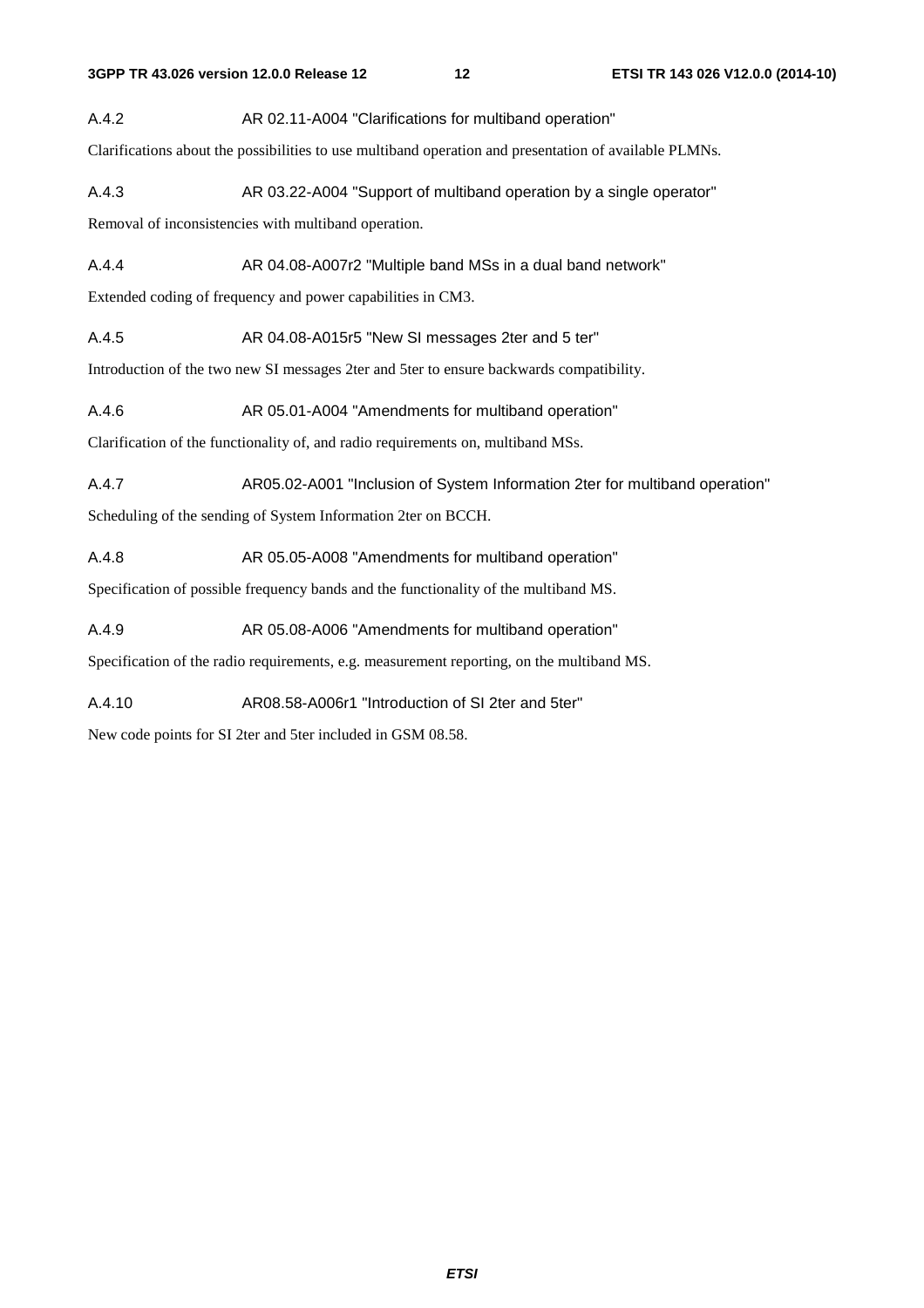#### A.4.2 AR 02.11-A004 "Clarifications for multiband operation"

Clarifications about the possibilities to use multiband operation and presentation of available PLMNs.

A.4.3 AR 03.22-A004 "Support of multiband operation by a single operator"

Removal of inconsistencies with multiband operation.

A.4.4 AR 04.08-A007r2 "Multiple band MSs in a dual band network"

Extended coding of frequency and power capabilities in CM3.

A.4.5 AR 04.08-A015r5 "New SI messages 2ter and 5 ter"

Introduction of the two new SI messages 2ter and 5ter to ensure backwards compatibility.

A.4.6 AR 05.01-A004 "Amendments for multiband operation"

Clarification of the functionality of, and radio requirements on, multiband MSs.

A.4.7 AR05.02-A001 "Inclusion of System Information 2ter for multiband operation"

Scheduling of the sending of System Information 2ter on BCCH.

A.4.8 AR 05.05-A008 "Amendments for multiband operation"

Specification of possible frequency bands and the functionality of the multiband MS.

A.4.9 AR 05.08-A006 "Amendments for multiband operation"

Specification of the radio requirements, e.g. measurement reporting, on the multiband MS.

A.4.10 AR08.58-A006r1 "Introduction of SI 2ter and 5ter"

New code points for SI 2ter and 5ter included in GSM 08.58.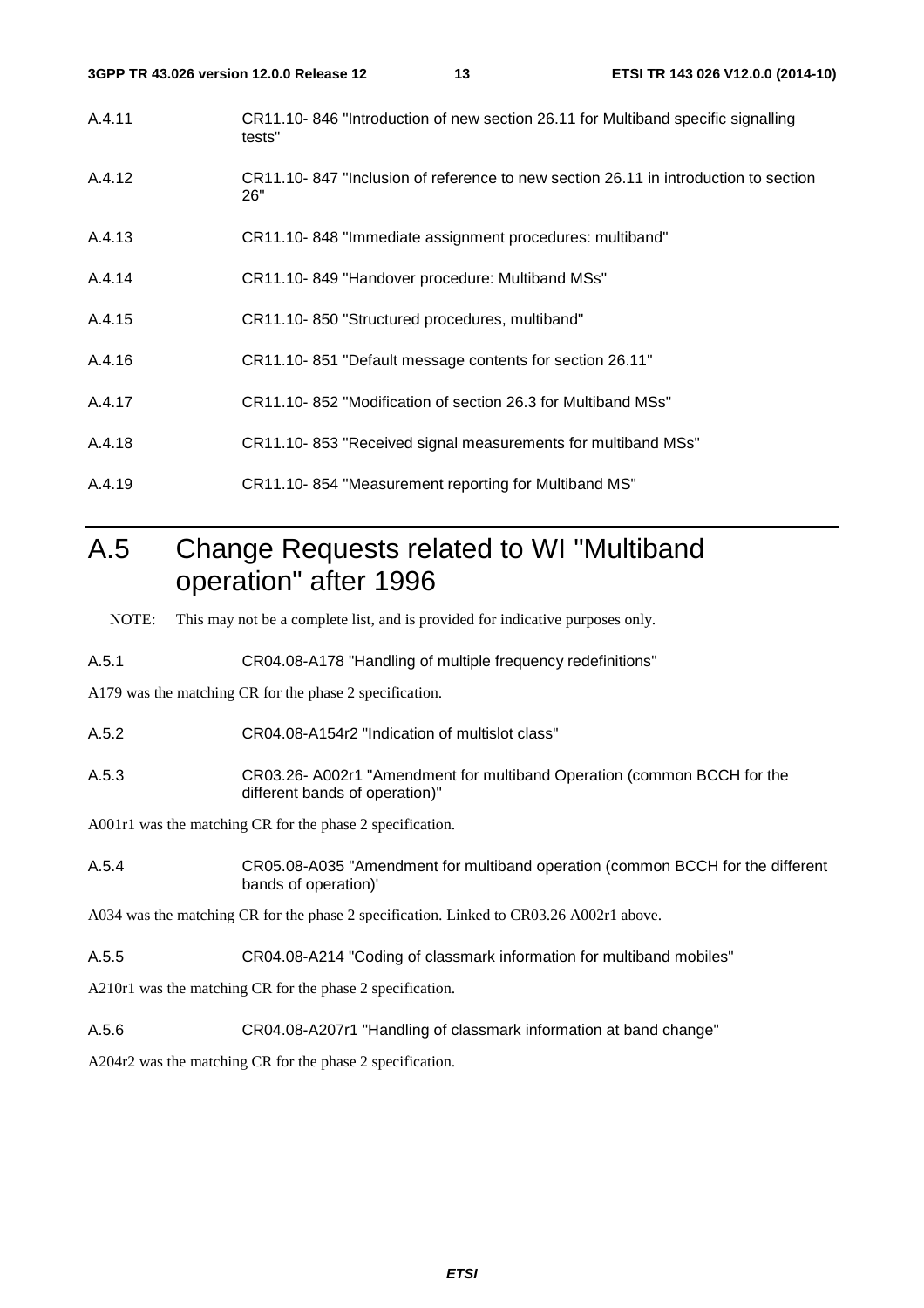- A.4.11 CR11.10- 846 "Introduction of new section 26.11 for Multiband specific signalling tests"
- A.4.12 CR11.10- 847 "Inclusion of reference to new section 26.11 in introduction to section 26"
- A.4.13 CR11.10- 848 "Immediate assignment procedures: multiband"
- A.4.14 CR11.10- 849 "Handover procedure: Multiband MSs"
- A.4.15 CR11.10- 850 "Structured procedures, multiband"
- A.4.16 CR11.10- 851 "Default message contents for section 26.11"
- A.4.17 CR11.10- 852 "Modification of section 26.3 for Multiband MSs"
- A.4.18 CR11.10- 853 "Received signal measurements for multiband MSs"
- A.4.19 CR11.10- 854 "Measurement reporting for Multiband MS"

# A.5 Change Requests related to WI "Multiband operation" after 1996

NOTE: This may not be a complete list, and is provided for indicative purposes only.

A.5.1 CR04.08-A178 "Handling of multiple frequency redefinitions"

A179 was the matching CR for the phase 2 specification.

- A.5.2 CR04.08-A154r2 "Indication of multislot class"
- A.5.3 CR03.26- A002r1 "Amendment for multiband Operation (common BCCH for the different bands of operation)"

A001r1 was the matching CR for the phase 2 specification.

A.5.4 CR05.08-A035 "Amendment for multiband operation (common BCCH for the different bands of operation)'

A034 was the matching CR for the phase 2 specification. Linked to CR03.26 A002r1 above.

A.5.5 CR04.08-A214 "Coding of classmark information for multiband mobiles"

A210r1 was the matching CR for the phase 2 specification.

A.5.6 CR04.08-A207r1 "Handling of classmark information at band change"

A204r2 was the matching CR for the phase 2 specification.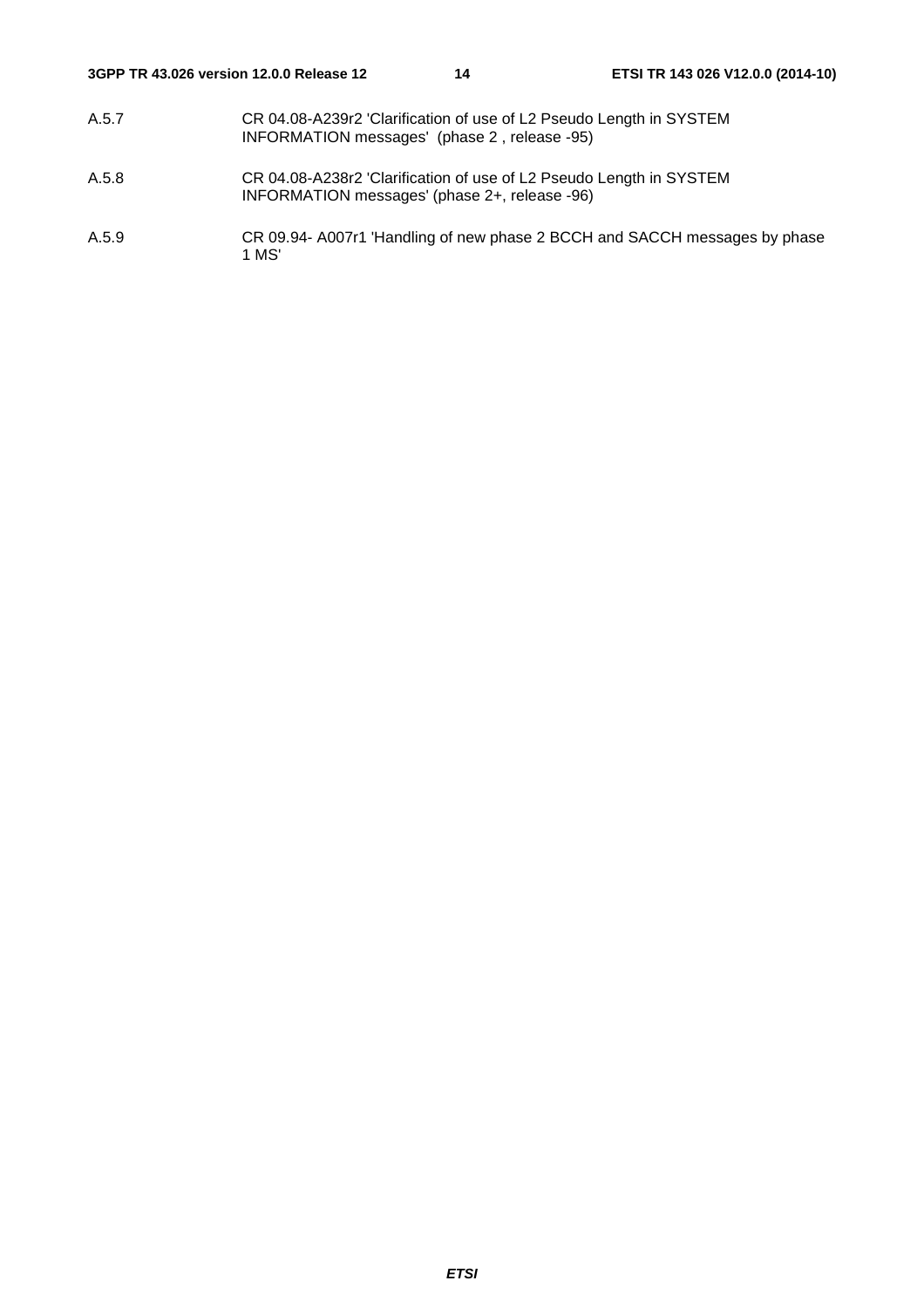- A.5.7 CR 04.08-A239r2 'Clarification of use of L2 Pseudo Length in SYSTEM INFORMATION messages' (phase 2 , release -95)
- A.5.8 CR 04.08-A238r2 'Clarification of use of L2 Pseudo Length in SYSTEM INFORMATION messages' (phase 2+, release -96)
- A.5.9 CR 09.94- A007r1 'Handling of new phase 2 BCCH and SACCH messages by phase 1 MS'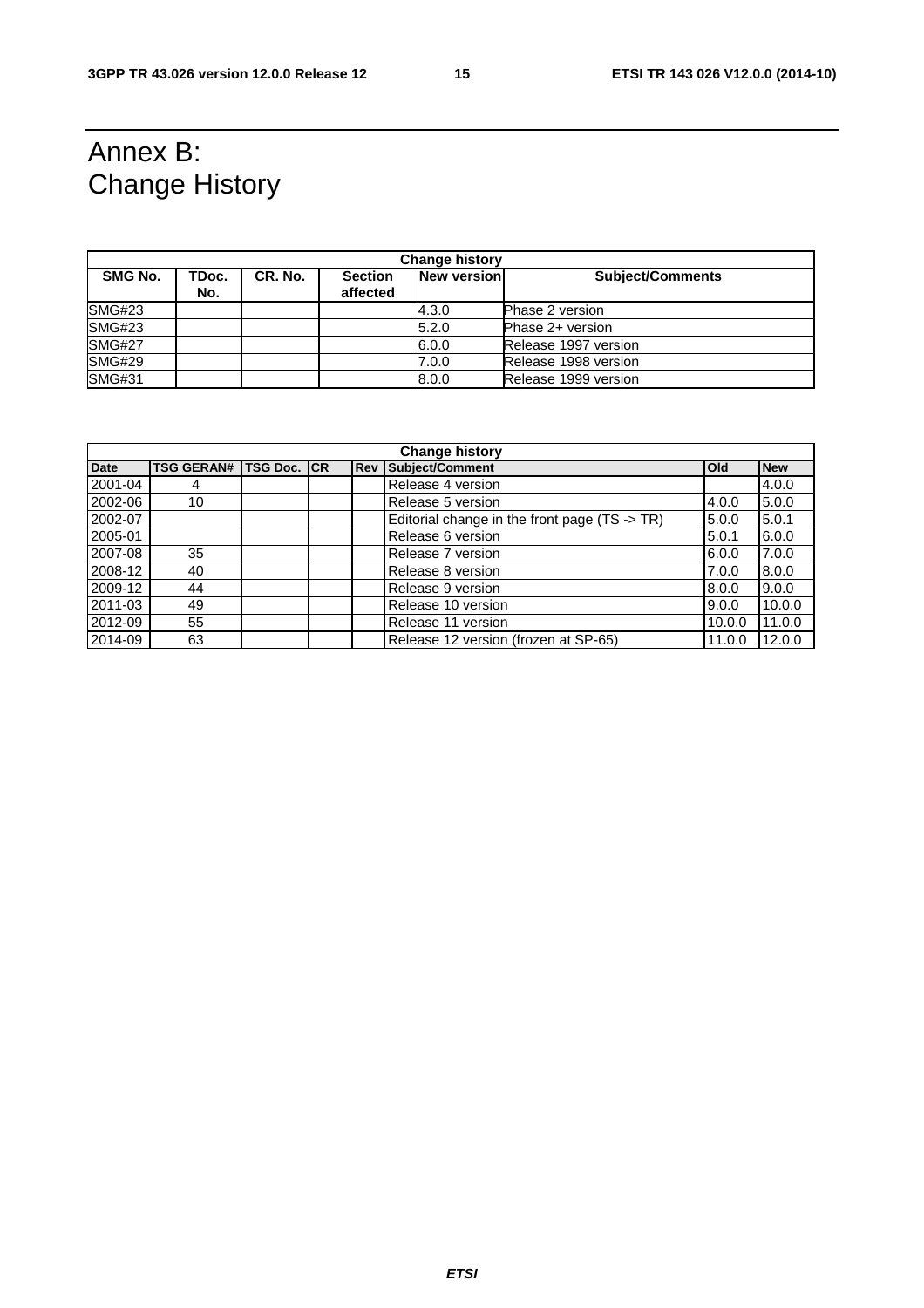# Annex B: Change History

| <b>Change history</b> |              |         |                            |                    |                         |  |  |
|-----------------------|--------------|---------|----------------------------|--------------------|-------------------------|--|--|
| SMG No.               | TDoc.<br>No. | CR. No. | <b>Section</b><br>affected | <b>New version</b> | <b>Subject/Comments</b> |  |  |
| <b>SMG#23</b>         |              |         |                            | 4.3.0              | <b>Phase 2 version</b>  |  |  |
| <b>SMG#23</b>         |              |         |                            | 5.2.0              | Phase 2+ version        |  |  |
| <b>SMG#27</b>         |              |         |                            | 6.0.0              | Release 1997 version    |  |  |
| <b>SMG#29</b>         |              |         |                            | 7.0.0              | Release 1998 version    |  |  |
| <b>SMG#31</b>         |              |         |                            | 8.0.0              | Release 1999 version    |  |  |

| <b>Change history</b> |                   |             |  |            |                                               |              |            |
|-----------------------|-------------------|-------------|--|------------|-----------------------------------------------|--------------|------------|
| <b>Date</b>           | <b>TSG GERAN#</b> | TSG Doc. CR |  | <b>Rev</b> | Subject/Comment                               | <b>l</b> Old | <b>New</b> |
| 2001-04               | 4                 |             |  |            | Release 4 version                             |              | 4.0.0      |
| 2002-06               | 10                |             |  |            | Release 5 version                             | 4.0.0        | 5.0.0      |
| 2002-07               |                   |             |  |            | Editorial change in the front page (TS -> TR) | 5.0.0        | 5.0.1      |
| 2005-01               |                   |             |  |            | Release 6 version                             | 5.0.1        | 6.0.0      |
| 2007-08               | 35                |             |  |            | Release 7 version                             | 6.0.0        | 7.0.0      |
| 2008-12               | 40                |             |  |            | Release 8 version                             | 7.0.0        | 8.0.0      |
| 2009-12               | 44                |             |  |            | Release 9 version                             | 8.0.0        | 9.0.0      |
| 2011-03               | 49                |             |  |            | Release 10 version                            | 9.0.0        | 10.0.0     |
| 2012-09               | 55                |             |  |            | Release 11 version                            | 10.0.0       | 11.0.0     |
| 2014-09               | 63                |             |  |            | Release 12 version (frozen at SP-65)          | 11.0.0       | 12.0.0     |